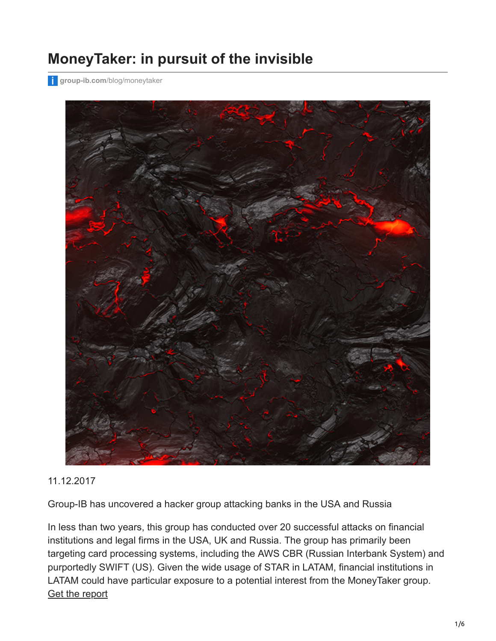## **MoneyTaker: in pursuit of the invisible**

**group-ib.com**[/blog/moneytaker](https://www.group-ib.com/blog/moneytaker)



#### 11.12.2017

Group-IB has uncovered a hacker group attacking banks in the USA and Russia

In less than two years, this group has conducted over 20 successful attacks on financial institutions and legal firms in the USA, UK and Russia. The group has primarily been targeting card processing systems, including the AWS CBR (Russian Interbank System) and purportedly SWIFT (US). Given the wide usage of STAR in LATAM, financial institutions in LATAM could have particular exposure to a potential interest from the MoneyTaker group. [Get the report](https://www.group-ib.com/resources/threat-research/money-taker.html)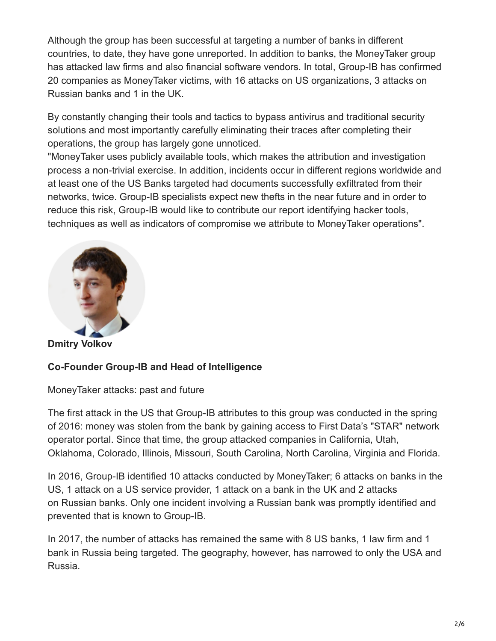Although the group has been successful at targeting a number of banks in different countries, to date, they have gone unreported. In addition to banks, the MoneyTaker group has attacked law firms and also financial software vendors. In total, Group-IB has confirmed 20 companies as MoneyTaker victims, with 16 attacks on US organizations, 3 attacks on Russian banks and 1 in the UK.

By constantly changing their tools and tactics to bypass antivirus and traditional security solutions and most importantly carefully eliminating their traces after completing their operations, the group has largely gone unnoticed.

"MoneyTaker uses publicly available tools, which makes the attribution and investigation process a non-trivial exercise. In addition, incidents occur in different regions worldwide and at least one of the US Banks targeted had documents successfully exfiltrated from their networks, twice. Group-IB specialists expect new thefts in the near future and in order to reduce this risk, Group-IB would like to contribute our report identifying hacker tools, techniques as well as indicators of compromise we attribute to MoneyTaker operations".



**Dmitry Volkov**

### **Co-Founder Group-IB and Head of Intelligence**

MoneyTaker attacks: past and future

The first attack in the US that Group-IB attributes to this group was conducted in the spring of 2016: money was stolen from the bank by gaining access to First Data's "STAR" network operator portal. Since that time, the group attacked companies in California, Utah, Oklahoma, Colorado, Illinois, Missouri, South Carolina, North Carolina, Virginia and Florida.

In 2016, Group-IB identified 10 attacks conducted by MoneyTaker; 6 attacks on banks in the US, 1 attack on a US service provider, 1 attack on a bank in the UK and 2 attacks on Russian banks. Only one incident involving a Russian bank was promptly identified and prevented that is known to Group-IB.

In 2017, the number of attacks has remained the same with 8 US banks, 1 law firm and 1 bank in Russia being targeted. The geography, however, has narrowed to only the USA and Russia.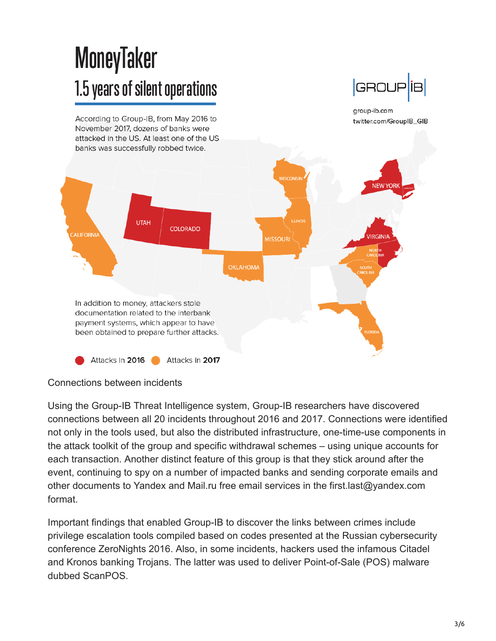# **MoneyTaker** 1.5 years of silent operations

According to Group-IB, from May 2016 to November 2017, dozens of banks were attacked in the US. At least one of the US group-ib.com twitter.com/GroupIB\_GIB



#### Connections between incidents

Using the Group-IB Threat Intelligence system, Group-IB researchers have discovered connections between all 20 incidents throughout 2016 and 2017. Connections were identified not only in the tools used, but also the distributed infrastructure, one-time-use components in the attack toolkit of the group and specific withdrawal schemes – using unique accounts for each transaction. Another distinct feature of this group is that they stick around after the event, continuing to spy on a number of impacted banks and sending corporate emails and other documents to Yandex and Mail.ru free email services in the first.last@yandex.com format.

Important findings that enabled Group-IB to discover the links between crimes include privilege escalation tools compiled based on codes presented at the Russian cybersecurity conference ZeroNights 2016. Also, in some incidents, hackers used the infamous Citadel and Kronos banking Trojans. The latter was used to deliver Point-of-Sale (POS) malware dubbed ScanPOS.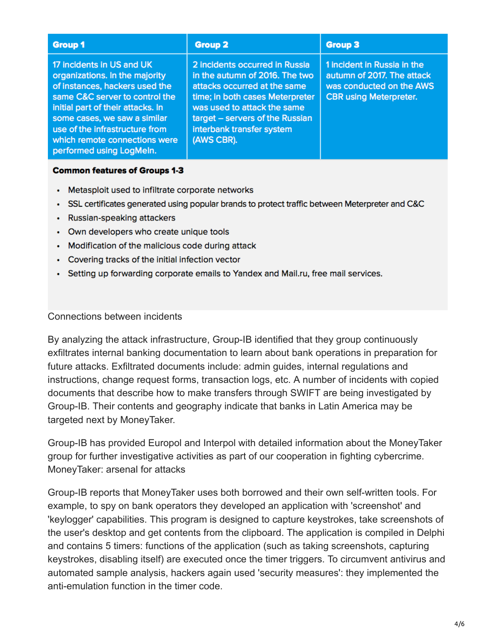| <b>Group 1</b>                                                                                                                                                                                                                                                                                      | <b>Group 2</b>                                                                                                                                                                                                                                   | <b>Group 3</b>                                                                                                         |
|-----------------------------------------------------------------------------------------------------------------------------------------------------------------------------------------------------------------------------------------------------------------------------------------------------|--------------------------------------------------------------------------------------------------------------------------------------------------------------------------------------------------------------------------------------------------|------------------------------------------------------------------------------------------------------------------------|
| 17 incidents in US and UK<br>organizations. In the majority<br>of instances, hackers used the<br>same C&C server to control the<br>initial part of their attacks. In<br>some cases, we saw a similar<br>use of the infrastructure from<br>which remote connections were<br>performed using LogMeln. | 2 incidents occurred in Russia<br>in the autumn of 2016. The two<br>attacks occurred at the same<br>time; in both cases Meterpreter<br>was used to attack the same<br>target - servers of the Russian<br>interbank transfer system<br>(AWS CBR). | 1 incident in Russia in the<br>autumn of 2017. The attack<br>was conducted on the AWS<br><b>CBR using Meterpreter.</b> |

#### **Common features of Groups 1-3**

- Metasploit used to infiltrate corporate networks
- SSL certificates generated using popular brands to protect traffic between Meterpreter and C&C
- Russian-speaking attackers
- Own developers who create unique tools
- Modification of the malicious code during attack
- Covering tracks of the initial infection vector
- Setting up forwarding corporate emails to Yandex and Mail.ru, free mail services.

#### Connections between incidents

By analyzing the attack infrastructure, Group-IB identified that they group continuously exfiltrates internal banking documentation to learn about bank operations in preparation for future attacks. Exfiltrated documents include: admin guides, internal regulations and instructions, change request forms, transaction logs, etc. A number of incidents with copied documents that describe how to make transfers through SWIFT are being investigated by Group-IB. Their contents and geography indicate that banks in Latin America may be targeted next by MoneyTaker.

Group-IB has provided Europol and Interpol with detailed information about the MoneyTaker group for further investigative activities as part of our cooperation in fighting cybercrime. MoneyTaker: arsenal for attacks

Group-IB reports that MoneyTaker uses both borrowed and their own self-written tools. For example, to spy on bank operators they developed an application with 'screenshot' and 'keylogger' capabilities. This program is designed to capture keystrokes, take screenshots of the user's desktop and get contents from the clipboard. The application is compiled in Delphi and contains 5 timers: functions of the application (such as taking screenshots, capturing keystrokes, disabling itself) are executed once the timer triggers. To circumvent antivirus and automated sample analysis, hackers again used 'security measures': they implemented the anti-emulation function in the timer code.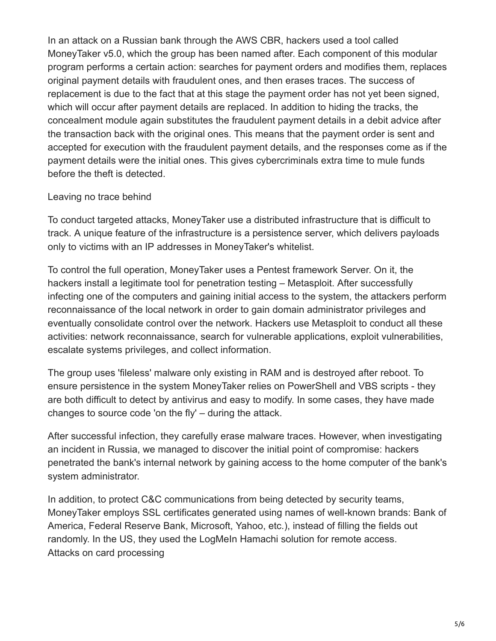In an attack on a Russian bank through the AWS CBR, hackers used a tool called MoneyTaker v5.0, which the group has been named after. Each component of this modular program performs a certain action: searches for payment orders and modifies them, replaces original payment details with fraudulent ones, and then erases traces. The success of replacement is due to the fact that at this stage the payment order has not yet been signed, which will occur after payment details are replaced. In addition to hiding the tracks, the concealment module again substitutes the fraudulent payment details in a debit advice after the transaction back with the original ones. This means that the payment order is sent and accepted for execution with the fraudulent payment details, and the responses come as if the payment details were the initial ones. This gives cybercriminals extra time to mule funds before the theft is detected.

#### Leaving no trace behind

To conduct targeted attacks, MoneyTaker use a distributed infrastructure that is difficult to track. A unique feature of the infrastructure is a persistence server, which delivers payloads only to victims with an IP addresses in MoneyTaker's whitelist.

To control the full operation, MoneyTaker uses a Pentest framework Server. On it, the hackers install a legitimate tool for penetration testing – Metasploit. After successfully infecting one of the computers and gaining initial access to the system, the attackers perform reconnaissance of the local network in order to gain domain administrator privileges and eventually consolidate control over the network. Hackers use Metasploit to conduct all these activities: network reconnaissance, search for vulnerable applications, exploit vulnerabilities, escalate systems privileges, and collect information.

The group uses 'fileless' malware only existing in RAM and is destroyed after reboot. To ensure persistence in the system MoneyTaker relies on PowerShell and VBS scripts - they are both difficult to detect by antivirus and easy to modify. In some cases, they have made changes to source code 'on the fly' – during the attack.

After successful infection, they carefully erase malware traces. However, when investigating an incident in Russia, we managed to discover the initial point of compromise: hackers penetrated the bank's internal network by gaining access to the home computer of the bank's system administrator.

In addition, to protect C&C communications from being detected by security teams, MoneyTaker employs SSL certificates generated using names of well-known brands: Bank of America, Federal Reserve Bank, Microsoft, Yahoo, etc.), instead of filling the fields out randomly. In the US, they used the LogMeIn Hamachi solution for remote access. Attacks on card processing